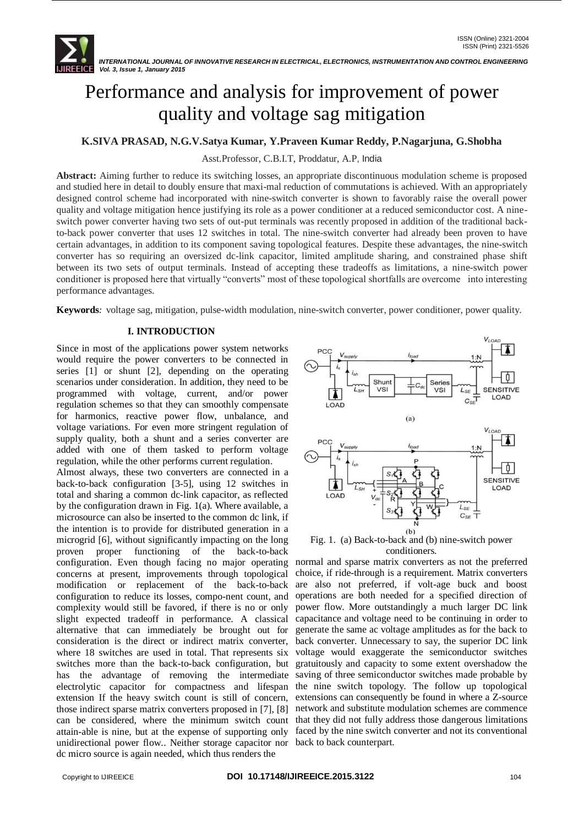

# Performance and analysis for improvement of power quality and voltage sag mitigation

# **K.SIVA PRASAD, N.G.V.Satya Kumar, Y.Praveen Kumar Reddy, P.Nagarjuna, G.Shobha**

Asst.Professor, C.B.I.T, Proddatur, A.P, India

**Abstract:** Aiming further to reduce its switching losses, an appropriate discontinuous modulation scheme is proposed and studied here in detail to doubly ensure that maxi-mal reduction of commutations is achieved. With an appropriately designed control scheme had incorporated with nine-switch converter is shown to favorably raise the overall power quality and voltage mitigation hence justifying its role as a power conditioner at a reduced semiconductor cost. A nineswitch power converter having two sets of out-put terminals was recently proposed in addition of the traditional backto-back power converter that uses 12 switches in total. The nine-switch converter had already been proven to have certain advantages, in addition to its component saving topological features. Despite these advantages, the nine-switch converter has so requiring an oversized dc-link capacitor, limited amplitude sharing, and constrained phase shift between its two sets of output terminals. Instead of accepting these tradeoffs as limitations, a nine-switch power conditioner is proposed here that virtually "converts" most of these topological shortfalls are overcome into interesting performance advantages.

**Keywords***:* voltage sag, mitigation, pulse-width modulation, nine-switch converter, power conditioner, power quality.

# **I. INTRODUCTION**

Since in most of the applications power system networks would require the power converters to be connected in series [1] or shunt [2], depending on the operating scenarios under consideration. In addition, they need to be programmed with voltage, current, and/or power regulation schemes so that they can smoothly compensate for harmonics, reactive power flow, unbalance, and voltage variations. For even more stringent regulation of supply quality, both a shunt and a series converter are added with one of them tasked to perform voltage regulation, while the other performs current regulation.

Almost always, these two converters are connected in a back-to-back configuration [3-5], using 12 switches in total and sharing a common dc-link capacitor, as reflected by the configuration drawn in Fig. 1(a). Where available, a microsource can also be inserted to the common dc link, if the intention is to provide for distributed generation in a microgrid [6], without significantly impacting on the long proven proper functioning of the back-to-back configuration. Even though facing no major operating normal and sparse matrix converters as not the preferred concerns at present, improvements through topological modification or replacement of the back-to-back configuration to reduce its losses, compo-nent count, and operations are both needed for a specified direction of complexity would still be favored, if there is no or only slight expected tradeoff in performance. A classical alternative that can immediately be brought out for consideration is the direct or indirect matrix converter, where 18 switches are used in total. That represents six switches more than the back-to-back configuration, but has the advantage of removing the intermediate electrolytic capacitor for compactness and lifespan extension If the heavy switch count is still of concern, those indirect sparse matrix converters proposed in [7], [8] can be considered, where the minimum switch count attain-able is nine, but at the expense of supporting only unidirectional power flow.. Neither storage capacitor nor back to back counterpart.dc micro source is again needed, which thus renders the



Fig. 1. (a) Back-to-back and (b) nine-switch power conditioners.

choice, if ride-through is a requirement. Matrix converters are also not preferred, if volt-age buck and boost power flow. More outstandingly a much larger DC link capacitance and voltage need to be continuing in order to generate the same ac voltage amplitudes as for the back to back converter. Unnecessary to say, the superior DC link voltage would exaggerate the semiconductor switches gratuitously and capacity to some extent overshadow the saving of three semiconductor switches made probable by the nine switch topology. The follow up topological extensions can consequently be found in where a Z-source network and substitute modulation schemes are commence that they did not fully address those dangerous limitations faced by the nine switch converter and not its conventional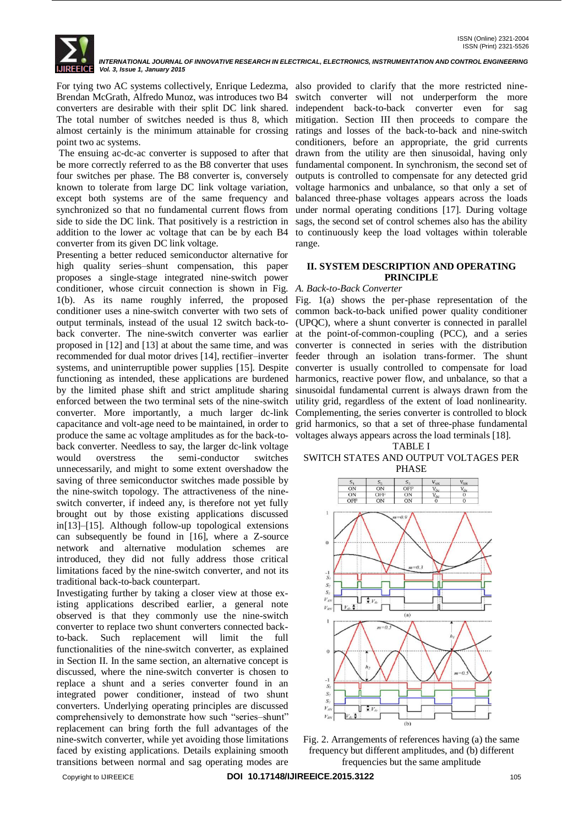*INTERNATIONAL JOURNAL OF INNOVATIVE RESEARCH IN ELECTRICAL, ELECTRONICS, INSTRUMENTATION AND CONTROL ENGINEERING Vol. 3, Issue 1, January 2015*

For tying two AC systems collectively, Enrique Ledezma, also provided to clarify that the more restricted nine-Brendan McGrath, Alfredo Munoz, was introduces two B4 converters are desirable with their split DC link shared. The total number of switches needed is thus 8, which almost certainly is the minimum attainable for crossing point two ac systems.

The ensuing ac-dc-ac converter is supposed to after that be more correctly referred to as the B8 converter that uses four switches per phase. The B8 converter is, conversely known to tolerate from large DC link voltage variation, except both systems are of the same frequency and synchronized so that no fundamental current flows from side to side the DC link. That positively is a restriction in addition to the lower ac voltage that can be by each B4 converter from its given DC link voltage.

Presenting a better reduced semiconductor alternative for high quality series–shunt compensation, this paper proposes a single-stage integrated nine-switch power conditioner, whose circuit connection is shown in Fig. *A. Back-to-Back Converter* 1(b). As its name roughly inferred, the proposed Fig. 1(a) shows the per-phase representation of the conditioner uses a nine-switch converter with two sets of output terminals, instead of the usual 12 switch back-toback converter. The nine-switch converter was earlier at the point-of-common-coupling (PCC), and a series proposed in [12] and [13] at about the same time, and was recommended for dual motor drives [14], rectifier–inverter systems, and uninterruptible power supplies [15]. Despite functioning as intended, these applications are burdened by the limited phase shift and strict amplitude sharing enforced between the two terminal sets of the nine-switch converter. More importantly, a much larger dc-link capacitance and volt-age need to be maintained, in order to produce the same ac voltage amplitudes as for the back-toback converter. Needless to say, the larger dc-link voltage would overstress the semi-conductor switches unnecessarily, and might to some extent overshadow the saving of three semiconductor switches made possible by the nine-switch topology. The attractiveness of the nineswitch converter, if indeed any, is therefore not yet fully brought out by those existing applications discussed in[13]–[15]. Although follow-up topological extensions can subsequently be found in [16], where a Z-source network and alternative modulation schemes are introduced, they did not fully address those critical limitations faced by the nine-switch converter, and not its traditional back-to-back counterpart.

Investigating further by taking a closer view at those existing applications described earlier, a general note observed is that they commonly use the nine-switch converter to replace two shunt converters connected backto-back. Such replacement will limit the full functionalities of the nine-switch converter, as explained in Section II. In the same section, an alternative concept is discussed, where the nine-switch converter is chosen to replace a shunt and a series converter found in an integrated power conditioner, instead of two shunt converters. Underlying operating principles are discussed comprehensively to demonstrate how such "series-shunt" replacement can bring forth the full advantages of the nine-switch converter, while yet avoiding those limitations faced by existing applications. Details explaining smooth transitions between normal and sag operating modes are

switch converter will not underperform the more independent back-to-back converter even for sag mitigation. Section III then proceeds to compare the ratings and losses of the back-to-back and nine-switch conditioners, before an appropriate, the grid currents drawn from the utility are then sinusoidal, having only fundamental component. In synchronism, the second set of outputs is controlled to compensate for any detected grid voltage harmonics and unbalance, so that only a set of balanced three-phase voltages appears across the loads under normal operating conditions [17]. During voltage sags, the second set of control schemes also has the ability to continuously keep the load voltages within tolerable range.

# **II. SYSTEM DESCRIPTION AND OPERATING PRINCIPLE**

common back-to-back unified power quality conditioner (UPQC), where a shunt converter is connected in parallel converter is connected in series with the distribution feeder through an isolation trans-former. The shunt converter is usually controlled to compensate for load harmonics, reactive power flow, and unbalance, so that a sinusoidal fundamental current is always drawn from the utility grid, regardless of the extent of load nonlinearity. Complementing, the series converter is controlled to block grid harmonics, so that a set of three-phase fundamental voltages always appears across the load terminals [18].

### TABLE I SWITCH STATES AND OUTPUT VOLTAGES PER PHASE



Fig. 2. Arrangements of references having (a) the same frequency but different amplitudes, and (b) different frequencies but the same amplitude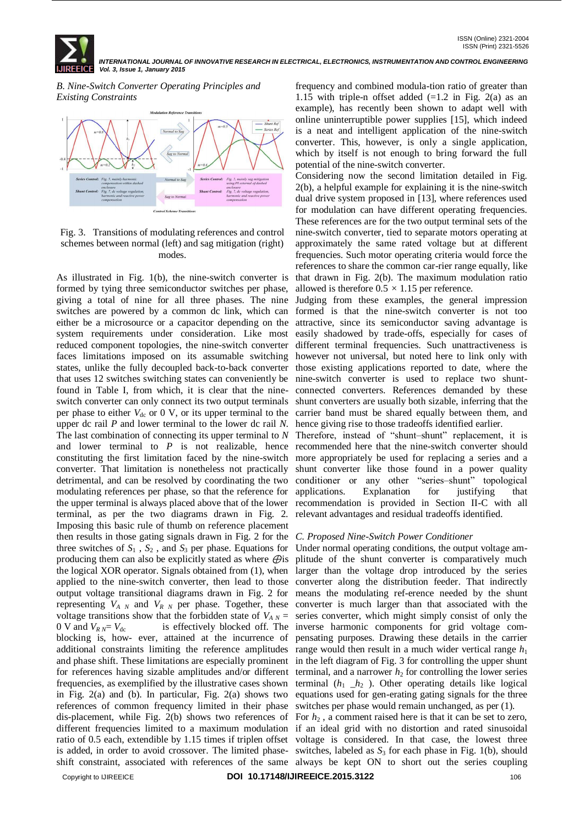ISSN (Print) 2321-5526 *INTERNATIONAL JOURNAL OF INNOVATIVE RESEARCH IN ELECTRICAL, ELECTRONICS, INSTRUMENTATION AND CONTROL ENGINEERING Vol. 3, Issue 1, January 2015*

*B. Nine-Switch Converter Operating Principles and Existing Constraints*



## Fig. 3. Transitions of modulating references and control schemes between normal (left) and sag mitigation (right) modes.

As illustrated in Fig. 1(b), the nine-switch converter is formed by tying three semiconductor switches per phase, giving a total of nine for all three phases. The nine switches are powered by a common dc link, which can either be a microsource or a capacitor depending on the system requirements under consideration. Like most reduced component topologies, the nine-switch converter faces limitations imposed on its assumable switching states, unlike the fully decoupled back-to-back converter that uses 12 switches switching states can conveniently be found in Table I, from which, it is clear that the nineswitch converter can only connect its two output terminals per phase to either  $V_{dc}$  or 0 V, or its upper terminal to the upper dc rail *P* and lower terminal to the lower dc rail *N*. The last combination of connecting its upper terminal to *N* and lower terminal to P is not realizable, hence recommended here that the nine-switch converter should constituting the first limitation faced by the nine-switch more appropriately be used for replacing a series and a converter. That limitation is nonetheless not practically detrimental, and can be resolved by coordinating the two modulating references per phase, so that the reference for the upper terminal is always placed above that of the lower terminal, as per the two diagrams drawn in Fig. 2. Imposing this basic rule of thumb on reference placement then results in those gating signals drawn in Fig. 2 for the *C. Proposed Nine-Switch Power Conditioner* three switches of  $S_1$ ,  $S_2$ , and  $S_3$  per phase. Equations for producing them can also be explicitly stated as where  $\Theta$ is the logical XOR operator. Signals obtained from (1), when larger than the voltage drop introduced by the series applied to the nine-switch converter, then lead to those converter along the distribution feeder. That indirectly output voltage transitional diagrams drawn in Fig. 2 for means the modulating ref-erence needed by the shunt representing  $V_{A,N}$  and  $V_{R,N}$  per phase. Together, these converter is much larger than that associated with the voltage transitions show that the forbidden state of  $V_{A N}$  = series converter, which might simply consist of only the  $0 \text{ V}$  and  $V_{RN} = V_{dc}$  is effectively blocked off. The inverse harmonic components for grid voltage comblocking is, how- ever, attained at the incurrence of additional constraints limiting the reference amplitudes range would then result in a much wider vertical range  $h_1$ and phase shift. These limitations are especially prominent in the left diagram of Fig. 3 for controlling the upper shunt for references having sizable amplitudes and/or different terminal, and a narrower  $h_2$  for controlling the lower series frequencies, as exemplified by the illustrative cases shown terminal  $(h_1 \_h_2)$ . Other operating details like logical in Fig. 2(a) and (b). In particular, Fig. 2(a) shows two equations used for gen-erating gating signals for the three references of common frequency limited in their phase switches per phase would remain unchanged, as per (1). dis-placement, while Fig. 2(b) shows two references of For *h*<sup>2</sup> , a comment raised here is that it can be set to zero, different frequencies limited to a maximum modulation if an ideal grid with no distortion and rated sinusoidal ratio of 0.5 each, extendible by 1.15 times if triplen offset voltage is considered. In that case, the lowest three is added, in order to avoid crossover. The limited phase- switches, labeled as  $S_3$  for each phase in Fig. 1(b), should shift constraint, associated with references of the same always be kept ON to short out the series coupling

frequency and combined modula-tion ratio of greater than 1.15 with triple-n offset added  $(=1.2$  in Fig. 2(a) as an example), has recently been shown to adapt well with online uninterruptible power supplies [15], which indeed is a neat and intelligent application of the nine-switch converter. This, however, is only a single application, which by itself is not enough to bring forward the full potential of the nine-switch converter.

Considering now the second limitation detailed in Fig. 2(b), a helpful example for explaining it is the nine-switch dual drive system proposed in [13], where references used for modulation can have different operating frequencies. These references are for the two output terminal sets of the nine-switch converter, tied to separate motors operating at approximately the same rated voltage but at different frequencies. Such motor operating criteria would force the references to share the common car-rier range equally, like that drawn in Fig. 2(b). The maximum modulation ratio allowed is therefore  $0.5 \times 1.15$  per reference.

Judging from these examples, the general impression formed is that the nine-switch converter is not too attractive, since its semiconductor saving advantage is easily shadowed by trade-offs, especially for cases of different terminal frequencies. Such unattractiveness is however not universal, but noted here to link only with those existing applications reported to date, where the nine-switch converter is used to replace two shuntconnected converters. References demanded by these shunt converters are usually both sizable, inferring that the carrier band must be shared equally between them, and hence giving rise to those tradeoffs identified earlier.

Therefore, instead of "shunt-shunt" replacement, it is shunt converter like those found in a power quality conditioner or any other "series-shunt" topological applications. Explanation for justifying that recommendation is provided in Section II-C with all relevant advantages and residual tradeoffs identified.

Under normal operating conditions, the output voltage amplitude of the shunt converter is comparatively much pensating purposes. Drawing these details in the carrier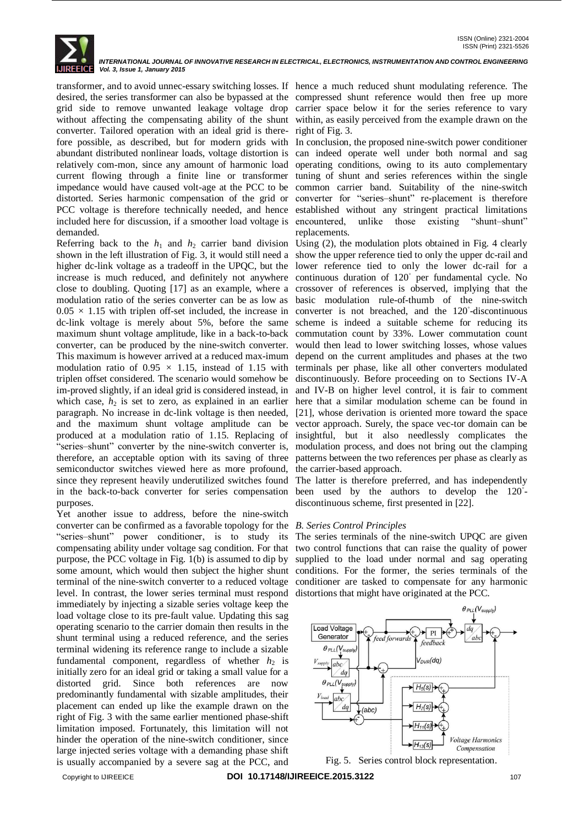

*INTERNATIONAL JOURNAL OF INNOVATIVE RESEARCH IN ELECTRICAL, ELECTRONICS, INSTRUMENTATION AND CONTROL ENGINEERING Vol. 3, Issue 1, January 2015*

transformer, and to avoid unnec-essary switching losses. If hence a much reduced shunt modulating reference. The desired, the series transformer can also be bypassed at the compressed shunt reference would then free up more grid side to remove unwanted leakage voltage drop carrier space below it for the series reference to vary without affecting the compensating ability of the shunt within, as easily perceived from the example drawn on the converter. Tailored operation with an ideal grid is there-right of Fig. 3. fore possible, as described, but for modern grids with In conclusion, the proposed nine-switch power conditioner abundant distributed nonlinear loads, voltage distortion is can indeed operate well under both normal and sag relatively com-mon, since any amount of harmonic load operating conditions, owing to its auto complementary current flowing through a finite line or transformer tuning of shunt and series references within the single impedance would have caused volt-age at the PCC to be common carrier band. Suitability of the nine-switch distorted. Series harmonic compensation of the grid or converter for "series-shunt" re-placement is therefore PCC voltage is therefore technically needed, and hence established without any stringent practical limitations included here for discussion, if a smoother load voltage is demanded.

Referring back to the  $h_1$  and  $h_2$  carrier band division Using (2), the modulation plots obtained in Fig. 4 clearly shown in the left illustration of Fig. 3, it would still need a higher dc-link voltage as a tradeoff in the UPQC, but the lower reference tied to only the lower dc-rail for a increase is much reduced, and definitely not anywhere close to doubling. Quoting [17] as an example, where a crossover of references is observed, implying that the modulation ratio of the series converter can be as low as  $0.05 \times 1.15$  with triplen off-set included, the increase in dc-link voltage is merely about 5%, before the same maximum shunt voltage amplitude, like in a back-to-back converter, can be produced by the nine-switch converter. This maximum is however arrived at a reduced max-imum modulation ratio of 0.95 *×* 1.15, instead of 1.15 with triplen offset considered. The scenario would somehow be im-proved slightly, if an ideal grid is considered instead, in which case,  $h_2$  is set to zero, as explained in an earlier paragraph. No increase in dc-link voltage is then needed, and the maximum shunt voltage amplitude can be produced at a modulation ratio of 1.15. Replacing of "series–shunt" converter by the nine-switch converter is, therefore, an acceptable option with its saving of three patterns between the two references per phase as clearly as semiconductor switches viewed here as more profound, since they represent heavily underutilized switches found The latter is therefore preferred, and has independently in the back-to-back converter for series compensation been used by the authors to develop the 120*◦* purposes.

Yet another issue to address, before the nine-switch converter can be confirmed as a favorable topology for the *B. Series Control Principles* "series-shunt" power conditioner, is to study its compensating ability under voltage sag condition. For that two control functions that can raise the quality of power purpose, the PCC voltage in Fig. 1(b) is assumed to dip by some amount, which would then subject the higher shunt conditions. For the former, the series terminals of the terminal of the nine-switch converter to a reduced voltage conditioner are tasked to compensate for any harmonic level. In contrast, the lower series terminal must respond immediately by injecting a sizable series voltage keep the load voltage close to its pre-fault value. Updating this sag operating scenario to the carrier domain then results in the shunt terminal using a reduced reference, and the series terminal widening its reference range to include a sizable fundamental component, regardless of whether  $h_2$  is initially zero for an ideal grid or taking a small value for a distorted grid. Since both references are now predominantly fundamental with sizable amplitudes, their placement can ended up like the example drawn on the right of Fig. 3 with the same earlier mentioned phase-shift limitation imposed. Fortunately, this limitation will not hinder the operation of the nine-switch conditioner, since large injected series voltage with a demanding phase shift is usually accompanied by a severe sag at the PCC, and

unlike those existing "shunt-shunt" replacements.

show the upper reference tied to only the upper dc-rail and continuous duration of 120*◦* per fundamental cycle. No basic modulation rule-of-thumb of the nine-switch converter is not breached, and the 120<sup>°</sup>-discontinuous scheme is indeed a suitable scheme for reducing its commutation count by 33%. Lower commutation count would then lead to lower switching losses, whose values depend on the current amplitudes and phases at the two terminals per phase, like all other converters modulated discontinuously. Before proceeding on to Sections IV-A and IV-B on higher level control, it is fair to comment here that a similar modulation scheme can be found in [21], whose derivation is oriented more toward the space vector approach. Surely, the space vec-tor domain can be insightful, but it also needlessly complicates the modulation process, and does not bring out the clamping the carrier-based approach.

discontinuous scheme, first presented in [22].

The series terminals of the nine-switch UPQC are given supplied to the load under normal and sag operating distortions that might have originated at the PCC.



Fig. 5. Series control block representation.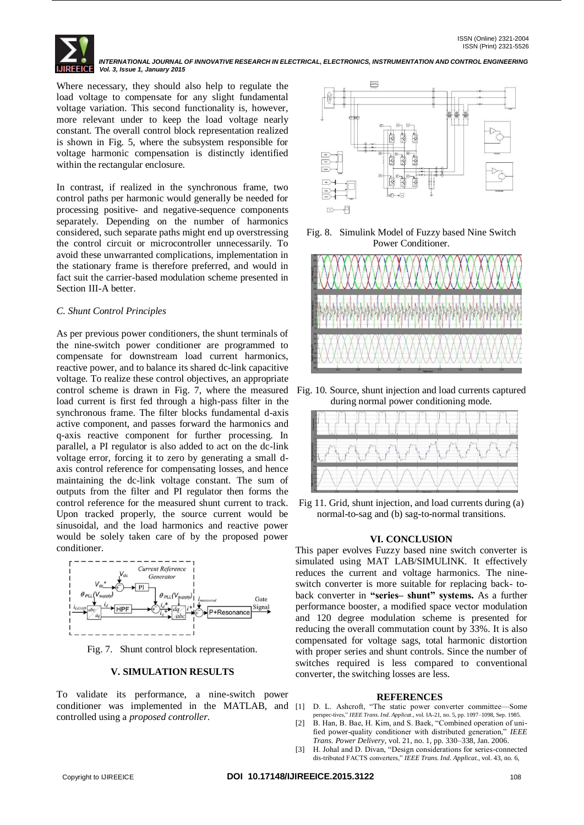

Where necessary, they should also help to regulate the load voltage to compensate for any slight fundamental voltage variation. This second functionality is, however, more relevant under to keep the load voltage nearly constant. The overall control block representation realized is shown in Fig. 5, where the subsystem responsible for voltage harmonic compensation is distinctly identified within the rectangular enclosure.

In contrast, if realized in the synchronous frame, two control paths per harmonic would generally be needed for processing positive- and negative-sequence components separately. Depending on the number of harmonics considered, such separate paths might end up overstressing the control circuit or microcontroller unnecessarily. To avoid these unwarranted complications, implementation in the stationary frame is therefore preferred, and would in fact suit the carrier-based modulation scheme presented in Section III-A better.

# *C. Shunt Control Principles*

As per previous power conditioners, the shunt terminals of the nine-switch power conditioner are programmed to compensate for downstream load current harmonics, reactive power, and to balance its shared dc-link capacitive voltage. To realize these control objectives, an appropriate control scheme is drawn in Fig. 7, where the measured load current is first fed through a high-pass filter in the synchronous frame. The filter blocks fundamental d-axis active component, and passes forward the harmonics and q-axis reactive component for further processing. In parallel, a PI regulator is also added to act on the dc-link voltage error, forcing it to zero by generating a small daxis control reference for compensating losses, and hence maintaining the dc-link voltage constant. The sum of outputs from the filter and PI regulator then forms the control reference for the measured shunt current to track. Upon tracked properly, the source current would be sinusoidal, and the load harmonics and reactive power would be solely taken care of by the proposed power conditioner.



Fig. 7. Shunt control block representation.

### **V. SIMULATION RESULTS**

To validate its performance, a nine-switch power conditioner was implemented in the MATLAB, and [1] D. L. Ashcroft, "The static power converter committee—Some controlled using a *proposed controller*.



Fig. 8. Simulink Model of Fuzzy based Nine Switch Power Conditioner.



Fig. 10. Source, shunt injection and load currents captured during normal power conditioning mode.



Fig 11. Grid, shunt injection, and load currents during (a) normal-to-sag and (b) sag-to-normal transitions.

### **VI. CONCLUSION**

This paper evolves Fuzzy based nine switch converter is simulated using MAT LAB/SIMULINK. It effectively reduces the current and voltage harmonics. The nineswitch converter is more suitable for replacing back- toback converter in **"series– shunt" systems.** As a further performance booster, a modified space vector modulation and 120 degree modulation scheme is presented for reducing the overall commutation count by 33%. It is also compensated for voltage sags, total harmonic distortion with proper series and shunt controls. Since the number of switches required is less compared to conventional converter, the switching losses are less.

### **REFERENCES**

- perspec-tives,‖ *IEEE Trans. Ind. Applicat.*, vol. IA-21, no. 5, pp. 1097–1098, Sep. 1985.
- B. Han, B. Bae, H. Kim, and S. Baek, "Combined operation of unified power-quality conditioner with distributed generation," IEEE *Trans. Power Delivery*, vol. 21, no. 1, pp. 330–338, Jan. 2006.
- [3] H. Johal and D. Divan, "Design considerations for series-connected dis-tributed FACTS converters," IEEE Trans. Ind. Applicat., vol. 43, no. 6,